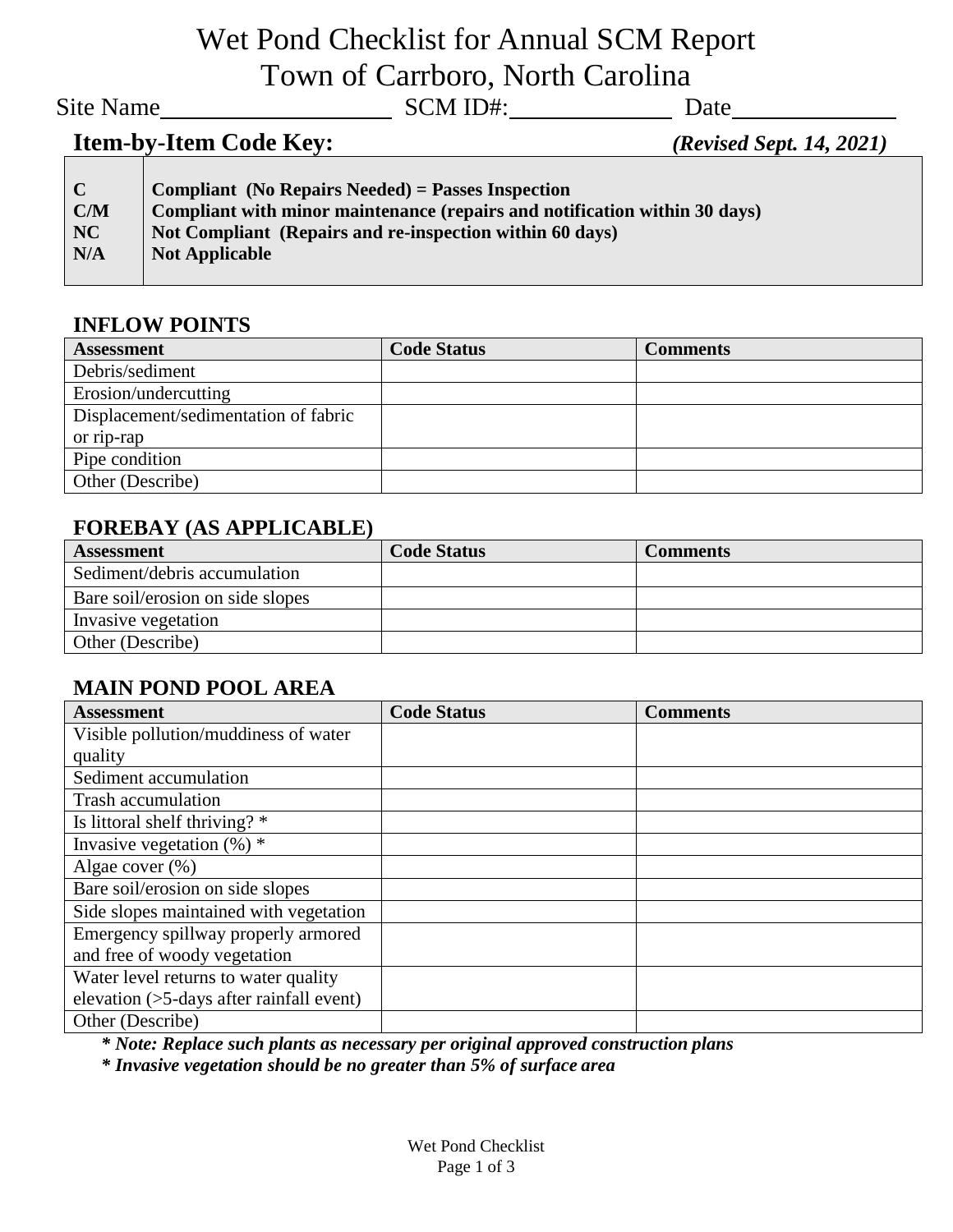## Wet Pond Checklist for Annual SCM Report Town of Carrboro, North Carolina

Site Name
Site Name
Site Name
SCM ID#:
SCM ID#:
SCM ID#:
SCM ID#:
SCM ID#:
SCM ID#:
SCM ID#:
SCM ID#:
SCM ID#:
SCM ID#:
SCM ID#:
SCM ID#:
SCM ID#:
SCM ID#:
SCM ID#:
SCM ID#:
SCM ID#:
SCM ID#:
SCM ID#:
SCM ID#:
SCM ID#:
SCM

## **Item-by-Item Code Key:** *(Revised Sept. 14, 2021)*

| $\mathbf C$ | Compliant (No Repairs Needed) = Passes Inspection                          |
|-------------|----------------------------------------------------------------------------|
| C/M         | Compliant with minor maintenance (repairs and notification within 30 days) |
| NC          | Not Compliant (Repairs and re-inspection within 60 days)                   |
| N/A         | <b>Not Applicable</b>                                                      |
|             |                                                                            |

#### **INFLOW POINTS**

| <b>Assessment</b>                    | <b>Code Status</b> | <b>Comments</b> |
|--------------------------------------|--------------------|-----------------|
| Debris/sediment                      |                    |                 |
| Erosion/undercutting                 |                    |                 |
| Displacement/sedimentation of fabric |                    |                 |
| or rip-rap                           |                    |                 |
| Pipe condition                       |                    |                 |
| Other (Describe)                     |                    |                 |

#### **FOREBAY (AS APPLICABLE)**

| <b>Assessment</b>                | <b>Code Status</b> | <b>Comments</b> |
|----------------------------------|--------------------|-----------------|
| Sediment/debris accumulation     |                    |                 |
| Bare soil/erosion on side slopes |                    |                 |
| Invasive vegetation              |                    |                 |
| Other (Describe)                 |                    |                 |

#### **MAIN POND POOL AREA**

| <b>Assessment</b>                              | <b>Code Status</b> | <b>Comments</b> |
|------------------------------------------------|--------------------|-----------------|
| Visible pollution/muddiness of water           |                    |                 |
| quality                                        |                    |                 |
| Sediment accumulation                          |                    |                 |
| Trash accumulation                             |                    |                 |
| Is littoral shelf thriving? *                  |                    |                 |
| Invasive vegetation $(\%)$ *                   |                    |                 |
| Algae cover (%)                                |                    |                 |
| Bare soil/erosion on side slopes               |                    |                 |
| Side slopes maintained with vegetation         |                    |                 |
| Emergency spillway properly armored            |                    |                 |
| and free of woody vegetation                   |                    |                 |
| Water level returns to water quality           |                    |                 |
| elevation $($ >5-days after rainfall event $)$ |                    |                 |
| Other (Describe)                               |                    |                 |

*\* Note: Replace such plants as necessary per original approved construction plans*

*\* Invasive vegetation should be no greater than 5% of surface area*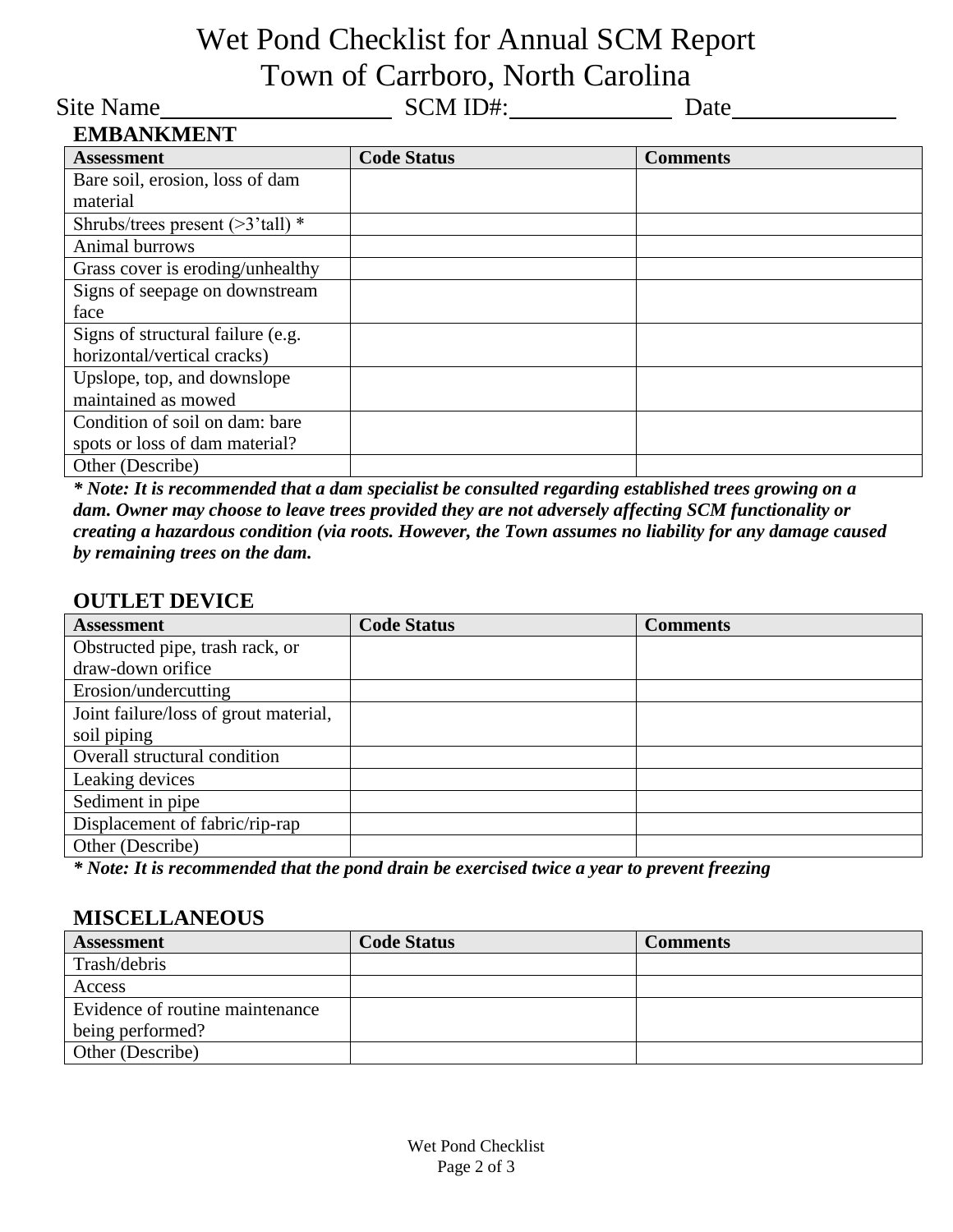# Wet Pond Checklist for Annual SCM Report Town of Carrboro, North Carolina

Site Name
<u>
SCM ID#:
Date</u>
Date

| <b>EMBANKMENT</b>                   |                    |                 |
|-------------------------------------|--------------------|-----------------|
| <b>Assessment</b>                   | <b>Code Status</b> | <b>Comments</b> |
| Bare soil, erosion, loss of dam     |                    |                 |
| material                            |                    |                 |
| Shrubs/trees present $($ >3'tall) * |                    |                 |
| Animal burrows                      |                    |                 |
| Grass cover is eroding/unhealthy    |                    |                 |
| Signs of seepage on downstream      |                    |                 |
| face                                |                    |                 |
| Signs of structural failure (e.g.   |                    |                 |
| horizontal/vertical cracks)         |                    |                 |
| Upslope, top, and downslope         |                    |                 |
| maintained as mowed                 |                    |                 |
| Condition of soil on dam: bare      |                    |                 |
| spots or loss of dam material?      |                    |                 |
| Other (Describe)                    |                    |                 |

*\* Note: It is recommended that a dam specialist be consulted regarding established trees growing on a dam. Owner may choose to leave trees provided they are not adversely affecting SCM functionality or creating a hazardous condition (via roots. However, the Town assumes no liability for any damage caused by remaining trees on the dam.*

#### **OUTLET DEVICE**

| <b>Assessment</b>                     | <b>Code Status</b> | <b>Comments</b> |
|---------------------------------------|--------------------|-----------------|
| Obstructed pipe, trash rack, or       |                    |                 |
| draw-down orifice                     |                    |                 |
| Erosion/undercutting                  |                    |                 |
| Joint failure/loss of grout material, |                    |                 |
| soil piping                           |                    |                 |
| Overall structural condition          |                    |                 |
| Leaking devices                       |                    |                 |
| Sediment in pipe                      |                    |                 |
| Displacement of fabric/rip-rap        |                    |                 |
| Other (Describe)                      |                    |                 |

*\* Note: It is recommended that the pond drain be exercised twice a year to prevent freezing*

#### **MISCELLANEOUS**

| <b>Assessment</b>               | <b>Code Status</b> | <b>Comments</b> |
|---------------------------------|--------------------|-----------------|
| Trash/debris                    |                    |                 |
| Access                          |                    |                 |
| Evidence of routine maintenance |                    |                 |
| being performed?                |                    |                 |
| Other (Describe)                |                    |                 |